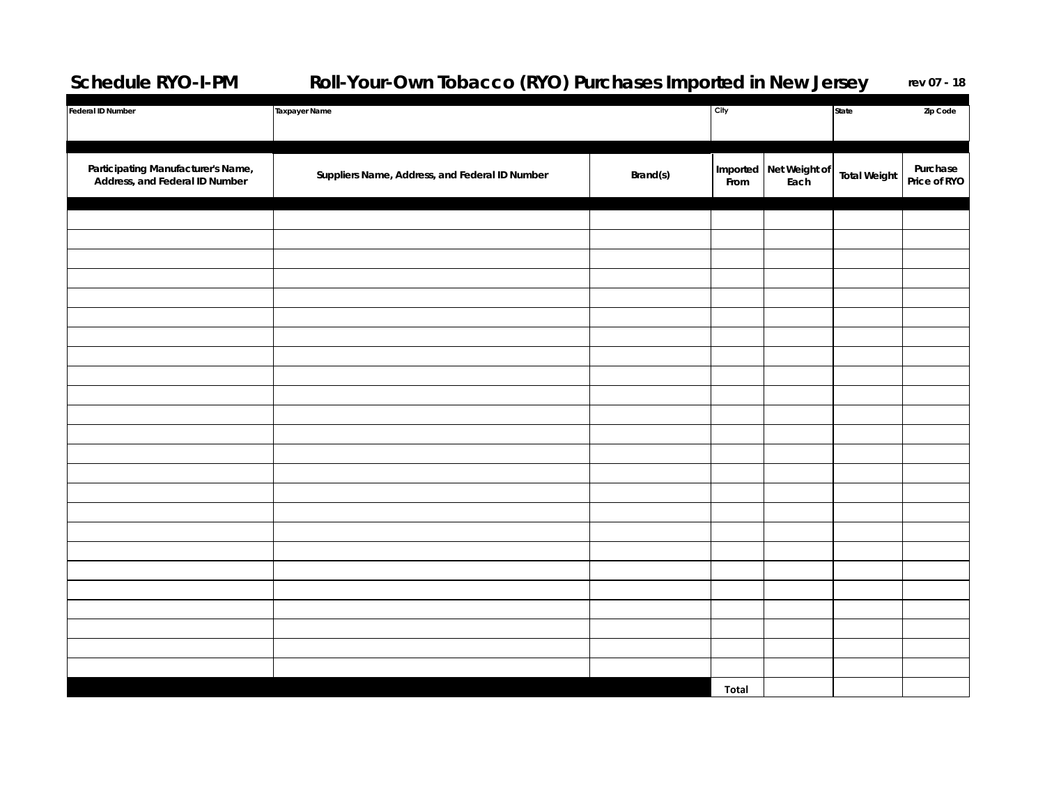## **Schedule RYO-I-PM Roll-Your-Own Tobacco (RYO) Purchases Imported in New Jersey rev 07 - 18**

| Federal ID Number                                                    | <b>Taxpayer Name</b>                           |          | City             |                       | State<br>Zip Code   |                          |
|----------------------------------------------------------------------|------------------------------------------------|----------|------------------|-----------------------|---------------------|--------------------------|
| Participating Manufacturer's Name,<br>Address, and Federal ID Number | Suppliers Name, Address, and Federal ID Number | Brand(s) | Imported<br>From | Net Weight of<br>Each | <b>Total Weight</b> | Purchase<br>Price of RYO |
|                                                                      |                                                |          |                  |                       |                     |                          |
|                                                                      |                                                |          |                  |                       |                     |                          |
|                                                                      |                                                |          |                  |                       |                     |                          |
|                                                                      |                                                |          |                  |                       |                     |                          |
|                                                                      |                                                |          |                  |                       |                     |                          |
|                                                                      |                                                |          |                  |                       |                     |                          |
|                                                                      |                                                |          |                  |                       |                     |                          |
|                                                                      |                                                |          |                  |                       |                     |                          |
|                                                                      |                                                |          |                  |                       |                     |                          |
|                                                                      |                                                |          |                  |                       |                     |                          |
|                                                                      |                                                |          |                  |                       |                     |                          |
|                                                                      |                                                |          |                  |                       |                     |                          |
|                                                                      |                                                |          |                  |                       |                     |                          |
|                                                                      |                                                |          |                  |                       |                     |                          |
|                                                                      |                                                |          |                  |                       |                     |                          |
|                                                                      |                                                |          |                  |                       |                     |                          |
|                                                                      |                                                |          |                  |                       |                     |                          |
|                                                                      |                                                |          |                  |                       |                     |                          |
|                                                                      |                                                |          |                  |                       |                     |                          |
|                                                                      |                                                |          |                  |                       |                     |                          |
|                                                                      |                                                |          |                  |                       |                     |                          |
|                                                                      |                                                |          |                  |                       |                     |                          |
|                                                                      |                                                |          | Total            |                       |                     |                          |